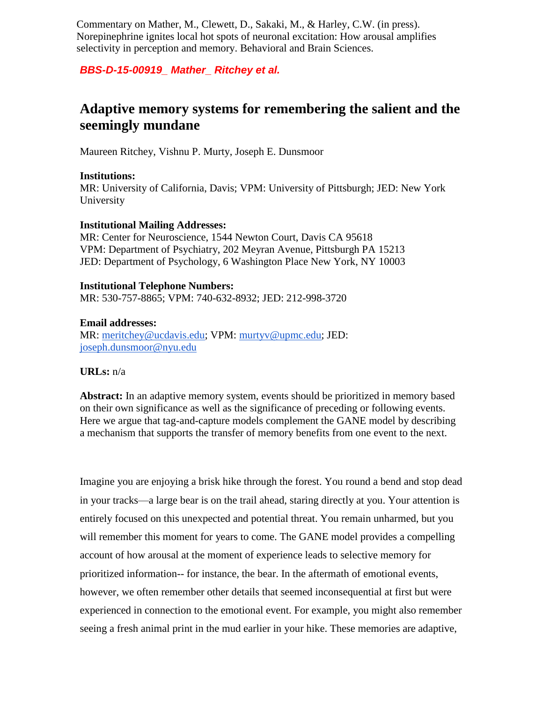Commentary on Mather, M., Clewett, D., Sakaki, M., & Harley, C.W. (in press). Norepinephrine ignites local hot spots of neuronal excitation: How arousal amplifies selectivity in perception and memory. Behavioral and Brain Sciences.

## *BBS-D-15-00919\_ Mather\_ Ritchey et al.*

# **Adaptive memory systems for remembering the salient and the seemingly mundane**

Maureen Ritchey, Vishnu P. Murty, Joseph E. Dunsmoor

#### **Institutions:**

MR: University of California, Davis; VPM: University of Pittsburgh; JED: New York University

#### **Institutional Mailing Addresses:**

MR: Center for Neuroscience, 1544 Newton Court, Davis CA 95618 VPM: Department of Psychiatry, 202 Meyran Avenue, Pittsburgh PA 15213 JED: Department of Psychology, 6 Washington Place New York, NY 10003

#### **Institutional Telephone Numbers:**

MR: 530-757-8865; VPM: 740-632-8932; JED: 212-998-3720

#### **Email addresses:**

MR: [meritchey@ucdavis.edu;](mailto:meritchey@ucdavis.edu) VPM: [murtyv@upmc.edu;](mailto:murtyv@upmc.edu) JED: [joseph.dunsmoor@nyu.edu](mailto:joseph.dunsmoor@nyu.edu)

### **URLs:** n/a

**Abstract:** In an adaptive memory system, events should be prioritized in memory based on their own significance as well as the significance of preceding or following events. Here we argue that tag-and-capture models complement the GANE model by describing a mechanism that supports the transfer of memory benefits from one event to the next.

Imagine you are enjoying a brisk hike through the forest. You round a bend and stop dead in your tracks—a large bear is on the trail ahead, staring directly at you. Your attention is entirely focused on this unexpected and potential threat. You remain unharmed, but you will remember this moment for years to come. The GANE model provides a compelling account of how arousal at the moment of experience leads to selective memory for prioritized information-- for instance, the bear. In the aftermath of emotional events, however, we often remember other details that seemed inconsequential at first but were experienced in connection to the emotional event. For example, you might also remember seeing a fresh animal print in the mud earlier in your hike. These memories are adaptive,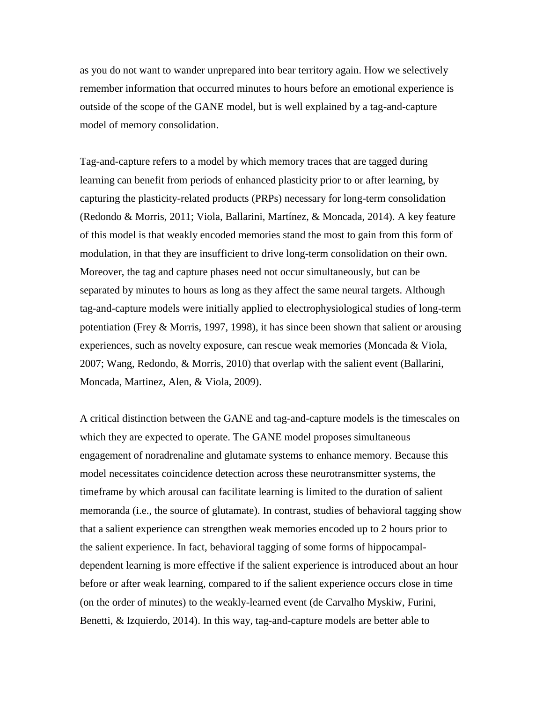as you do not want to wander unprepared into bear territory again. How we selectively remember information that occurred minutes to hours before an emotional experience is outside of the scope of the GANE model, but is well explained by a tag-and-capture model of memory consolidation.

Tag-and-capture refers to a model by which memory traces that are tagged during learning can benefit from periods of enhanced plasticity prior to or after learning, by capturing the plasticity-related products (PRPs) necessary for long-term consolidation [\(Redondo & Morris, 2011; Viola, Ballarini, Martínez, & Moncada, 2014\).](https://paperpile.com/c/3PFxoC/7Mij+FqHy) A key feature of this model is that weakly encoded memories stand the most to gain from this form of modulation, in that they are insufficient to drive long-term consolidation on their own. Moreover, the tag and capture phases need not occur simultaneously, but can be separated by minutes to hours as long as they affect the same neural targets. Although tag-and-capture models were initially applied to electrophysiological studies of long-term potentiation [\(Frey & Morris, 1997, 1998\),](https://paperpile.com/c/3PFxoC/HEgi+GWer) it has since been shown that salient or arousing experiences, such as novelty exposure, can rescue weak memories [\(Moncada & Viola,](https://paperpile.com/c/3PFxoC/kukg+QB0W)  [2007; Wang, Redondo, & Morris, 2010\)](https://paperpile.com/c/3PFxoC/kukg+QB0W) that overlap with the salient event [\(Ballarini,](https://paperpile.com/c/3PFxoC/YzyM)  [Moncada, Martinez, Alen, & Viola, 2009\).](https://paperpile.com/c/3PFxoC/YzyM)

A critical distinction between the GANE and tag-and-capture models is the timescales on which they are expected to operate. The GANE model proposes simultaneous engagement of noradrenaline and glutamate systems to enhance memory. Because this model necessitates coincidence detection across these neurotransmitter systems, the timeframe by which arousal can facilitate learning is limited to the duration of salient memoranda (i.e., the source of glutamate). In contrast, studies of behavioral tagging show that a salient experience can strengthen weak memories encoded up to 2 hours prior to the salient experience. In fact, behavioral tagging of some forms of hippocampaldependent learning is more effective if the salient experience is introduced about an hour before or after weak learning, compared to if the salient experience occurs close in time (on the order of minutes) to the weakly-learned event [\(de Carvalho Myskiw, Furini,](https://paperpile.com/c/3PFxoC/l2O2)  [Benetti, & Izquierdo, 2014\).](https://paperpile.com/c/3PFxoC/l2O2) In this way, tag-and-capture models are better able to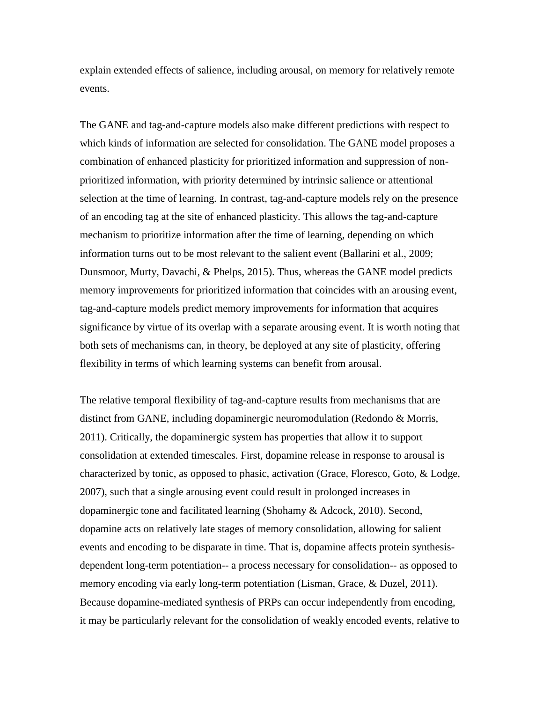explain extended effects of salience, including arousal, on memory for relatively remote events.

The GANE and tag-and-capture models also make different predictions with respect to which kinds of information are selected for consolidation. The GANE model proposes a combination of enhanced plasticity for prioritized information and suppression of nonprioritized information, with priority determined by intrinsic salience or attentional selection at the time of learning. In contrast, tag-and-capture models rely on the presence of an encoding tag at the site of enhanced plasticity. This allows the tag-and-capture mechanism to prioritize information after the time of learning, depending on which information turns out to be most relevant to the salient event [\(Ballarini et al., 2009;](https://paperpile.com/c/3PFxoC/YzyM+hpAV)  [Dunsmoor, Murty, Davachi, & Phelps, 2015\).](https://paperpile.com/c/3PFxoC/YzyM+hpAV) Thus, whereas the GANE model predicts memory improvements for prioritized information that coincides with an arousing event, tag-and-capture models predict memory improvements for information that acquires significance by virtue of its overlap with a separate arousing event. It is worth noting that both sets of mechanisms can, in theory, be deployed at any site of plasticity, offering flexibility in terms of which learning systems can benefit from arousal.

The relative temporal flexibility of tag-and-capture results from mechanisms that are distinct from GANE, including dopaminergic neuromodulation (Redondo & Morris, 2011). Critically, the dopaminergic system has properties that allow it to support consolidation at extended timescales. First, dopamine release in response to arousal is characterized by tonic, as opposed to phasic, activation [\(Grace, Floresco, Goto, & Lodge,](https://paperpile.com/c/3PFxoC/gxsc)  [2007\),](https://paperpile.com/c/3PFxoC/gxsc) such that a single arousing event could result in prolonged increases in dopaminergic tone and facilitated learning [\(Shohamy & Adcock, 2010\).](https://paperpile.com/c/3PFxoC/iZ99) Second, dopamine acts on relatively late stages of memory consolidation, allowing for salient events and encoding to be disparate in time. That is, dopamine affects protein synthesisdependent long-term potentiation-- a process necessary for consolidation-- as opposed to memory encoding via early long-term potentiation [\(Lisman, Grace, & Duzel, 2011\).](https://paperpile.com/c/3PFxoC/GTlb) Because dopamine-mediated synthesis of PRPs can occur independently from encoding, it may be particularly relevant for the consolidation of weakly encoded events, relative to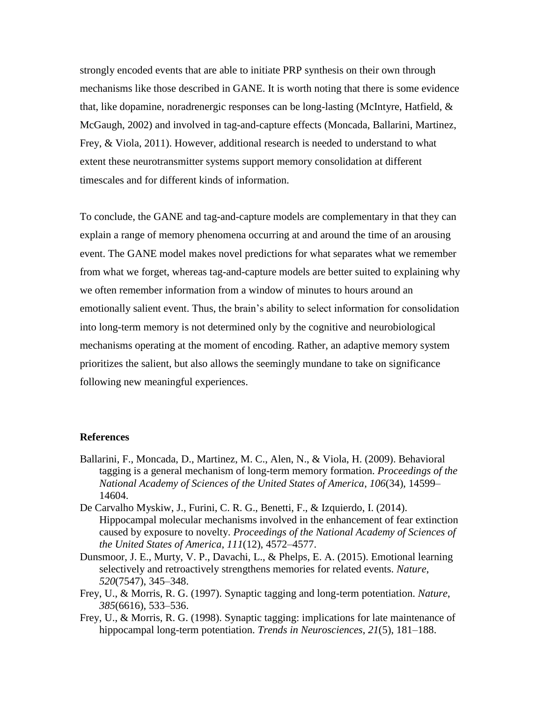strongly encoded events that are able to initiate PRP synthesis on their own through mechanisms like those described in GANE. It is worth noting that there is some evidence that, like dopamine, noradrenergic responses can be long-lasting [\(McIntyre, Hatfield, &](https://paperpile.com/c/3PFxoC/hOUY)  [McGaugh, 2002\)](https://paperpile.com/c/3PFxoC/hOUY) and involved in tag-and-capture effects [\(Moncada, Ballarini, Martinez,](https://paperpile.com/c/3PFxoC/1ffw)  [Frey, & Viola, 2011\).](https://paperpile.com/c/3PFxoC/1ffw) However, additional research is needed to understand to what extent these neurotransmitter systems support memory consolidation at different timescales and for different kinds of information.

To conclude, the GANE and tag-and-capture models are complementary in that they can explain a range of memory phenomena occurring at and around the time of an arousing event. The GANE model makes novel predictions for what separates what we remember from what we forget, whereas tag-and-capture models are better suited to explaining why we often remember information from a window of minutes to hours around an emotionally salient event. Thus, the brain's ability to select information for consolidation into long-term memory is not determined only by the cognitive and neurobiological mechanisms operating at the moment of encoding. Rather, an adaptive memory system prioritizes the salient, but also allows the seemingly mundane to take on significance following new meaningful experiences.

#### **References**

- [Ballarini, F., Moncada, D., Martinez, M. C., Alen, N., & Viola, H. \(2009\). Behavioral](http://paperpile.com/b/3PFxoC/YzyM)  [tagging is a general mechanism of long-term memory formation.](http://paperpile.com/b/3PFxoC/YzyM) *[Proceedings of the](http://paperpile.com/b/3PFxoC/YzyM)  [National Academy of Sciences of the United States of America](http://paperpile.com/b/3PFxoC/YzyM)*[,](http://paperpile.com/b/3PFxoC/YzyM) *[106](http://paperpile.com/b/3PFxoC/YzyM)*[\(34\), 14599–](http://paperpile.com/b/3PFxoC/YzyM) [14604.](http://paperpile.com/b/3PFxoC/YzyM)
- [De Carvalho Myskiw, J., Furini, C. R. G., Benetti, F., & Izquierdo, I. \(2014\).](http://paperpile.com/b/3PFxoC/l2O2)  Hippocampal [molecular mechanisms involved in the enhancement of fear extinction](http://paperpile.com/b/3PFxoC/l2O2)  [caused by exposure to novelty.](http://paperpile.com/b/3PFxoC/l2O2) *[Proceedings of the National Academy of Sciences of](http://paperpile.com/b/3PFxoC/l2O2)  [the United States of America](http://paperpile.com/b/3PFxoC/l2O2)*[,](http://paperpile.com/b/3PFxoC/l2O2) *[111](http://paperpile.com/b/3PFxoC/l2O2)*[\(12\), 4572–4577.](http://paperpile.com/b/3PFxoC/l2O2)
- [Dunsmoor, J. E., Murty, V. P., Davachi, L., & Phelps, E. A. \(2015\). Emotional learning](http://paperpile.com/b/3PFxoC/hpAV)  [selectively and retroactively strengthens memories for related events.](http://paperpile.com/b/3PFxoC/hpAV) *[Nature](http://paperpile.com/b/3PFxoC/hpAV)*[,](http://paperpile.com/b/3PFxoC/hpAV)  *[520](http://paperpile.com/b/3PFxoC/hpAV)*[\(7547\), 345–348.](http://paperpile.com/b/3PFxoC/hpAV)
- [Frey, U., & Morris, R. G. \(1997\). Synaptic tagging and long-term potentiation.](http://paperpile.com/b/3PFxoC/HEgi) *[Nature](http://paperpile.com/b/3PFxoC/HEgi)*[,](http://paperpile.com/b/3PFxoC/HEgi)  *[385](http://paperpile.com/b/3PFxoC/HEgi)*[\(6616\), 533–536.](http://paperpile.com/b/3PFxoC/HEgi)
- [Frey, U., & Morris, R. G. \(1998\). Synaptic tagging: implications for late maintenance of](http://paperpile.com/b/3PFxoC/GWer)  [hippocampal long-term potentiation.](http://paperpile.com/b/3PFxoC/GWer) *[Trends in Neurosciences](http://paperpile.com/b/3PFxoC/GWer)*[,](http://paperpile.com/b/3PFxoC/GWer) *[21](http://paperpile.com/b/3PFxoC/GWer)*[\(5\), 181–188.](http://paperpile.com/b/3PFxoC/GWer)